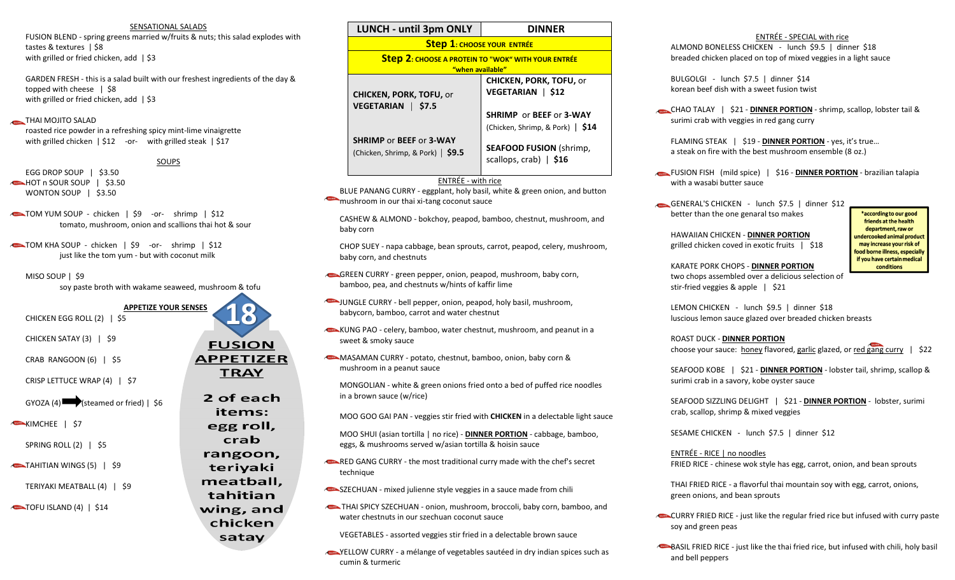## SENSATIONAL SALADS

FUSION BLEND - spring greens married w/fruits & nuts; this salad explodes with tastes & textures | \$8 with grilled or fried chicken, add | \$3

GARDEN FRESH - this is a salad built with our freshest ingredients of the day & topped with cheese | \$8 with grilled or fried chicken, add | \$3

## THAI MOJITO SALAD

roasted rice powder in a refreshing spicy mint-lime vinaigrette with grilled chicken | \$12 -or- with grilled steak | \$17

## SOUPS

- EGG DROP SOUP | \$3.50 HOT n SOUR SOUP | \$3.50 WONTON SOUP | \$3.50
- TOM YUM SOUP chicken | \$9 -or- shrimp | \$12 tomato, mushroom, onion and scallions thai hot & sour
- TOM KHA SOUP chicken | \$9 -or- shrimp | \$12 just like the tom yum - but with coconut milk

#### MISO SOUP | \$9

soy paste broth with wakame seaweed, mushroom & tofu

**APPETIZE YOUR SENSES** CHICKEN EGG ROLL (2) | \$5 CHICKEN SATAY (3) | \$9 CRAB RANGOON (6) | \$5 CRISP LETTUCE WRAP (4) | \$7

 $GYOZA(4)$  (steamed or fried) | \$6

KIMCHEE | \$7

SPRING ROLL (2) | \$5

- TAHITIAN WINGS (5) | \$9
	- TERIYAKI MEATBALL (4) | \$9

TOFU ISLAND (4) | \$14

| <b>LUNCH - until 3pm ONLY</b>                                                 | <b>DINNFR</b>                                                                    |  |  |  |  |
|-------------------------------------------------------------------------------|----------------------------------------------------------------------------------|--|--|--|--|
| <b>Step 1: CHOOSE YOUR ENTRÉE</b>                                             |                                                                                  |  |  |  |  |
| <b>Step 2: CHOOSE A PROTEIN TO "WOK" WITH YOUR ENTRÉE</b><br>"when available" |                                                                                  |  |  |  |  |
| <b>CHICKEN, PORK, TOFU, or</b><br>\$7.5<br><b>VEGETARIAN</b>                  | <b>CHICKEN, PORK, TOFU, or</b><br>VEGETARIAN   \$12                              |  |  |  |  |
|                                                                               | <b>SHRIMP</b> or <b>BEEF</b> or <b>3-WAY</b><br>(Chicken, Shrimp, & Pork)   \$14 |  |  |  |  |
| <b>SHRIMP or BEEF or 3-WAY</b><br>(Chicken, Shrimp, & Pork) $\vert$ \$9.5     | <b>SEAFOOD FUSION (shrimp,</b><br>scallops, crab) $\vert$ \$16                   |  |  |  |  |

## ENTRÉE - with rice

BLUE PANANG CURRY - eggplant, holy basil, white & green onion, and button mushroom in our thai xi-tang coconut sauce

CASHEW & ALMOND - bokchoy, peapod, bamboo, chestnut, mushroom, and baby corn

CHOP SUEY - napa cabbage, bean sprouts, carrot, peapod, celery, mushroom, baby corn, and chestnuts

- GREEN CURRY green pepper, onion, peapod, mushroom, baby corn, bamboo, pea, and chestnuts w/hints of kaffir lime
- JUNGLE CURRY bell pepper, onion, peapod, holy basil, mushroom, babycorn, bamboo, carrot and water chestnut
- KUNG PAO celery, bamboo, water chestnut, mushroom, and peanut in a sweet & smoky sauce
- MASAMAN CURRY potato, chestnut, bamboo, onion, baby corn & mushroom in a peanut sauce

MONGOLIAN - white & green onions fried onto a bed of puffed rice noodles in a brown sauce (w/rice)

MOO GOO GAI PAN - veggies stir fried with **CHICKEN** in a delectable light sauce

MOO SHUI (asian tortilla | no rice) - **DINNER PORTION** - cabbage, bamboo, eggs, & mushrooms served w/asian tortilla & hoisin sauce

- RED GANG CURRY the most traditional curry made with the chef's secret technique
- **SZECHUAN** mixed julienne style veggies in a sauce made from chili
- THAI SPICY SZECHUAN onion, mushroom, broccoli, baby corn, bamboo, and water chestnuts in our szechuan coconut sauce

VEGETABLES - assorted veggies stir fried in a delectable brown sauce

YELLOW CURRY - a mélange of vegetables sautéed in dry indian spices such as cumin & turmeric

## ENTRÉE - SPECIAL with rice ALMOND BONELESS CHICKEN - lunch \$9.5 | dinner \$18 breaded chicken placed on top of mixed veggies in a light sauce

BULGOLGI - lunch \$7.5 | dinner \$14 korean beef dish with a sweet fusion twist

CHAO TALAY | \$21 - **DINNER PORTION** - shrimp, scallop, lobster tail & surimi crab with veggies in red gang curry

FLAMING STEAK | \$19 - **DINNER PORTION** - yes, it's true… a steak on fire with the best mushroom ensemble (8 oz.)

- FUSION FISH (mild spice) | \$16 **DINNER PORTION** brazilian talapia with a wasabi butter sauce
- GENERAL'S CHICKEN lunch \$7.5 | dinner \$12 better than the one genaral tso makes

HAWAIIAN CHICKEN - **DINNER PORTION** grilled chicken coved in exotic fruits | \$18

\*according to our good friends at the health department, raw or **Indercooked animal product** may increase your risk of food borne illness, especially if you have certain medical conditions

KARATE PORK CHOPS - **DINNER PORTION** two chops assembled over a delicious selection of stir-fried veggies & apple | \$21

LEMON CHICKEN - lunch \$9.5 | dinner \$18 luscious lemon sauce glazed over breaded chicken breasts

ROAST DUCK - **DINNER PORTION** choose your sauce: honey flavored, garlic glazed, or red gang curry | \$22

SEAFOOD KOBE | \$21 - **DINNER PORTION** - lobster tail, shrimp, scallop & surimi crab in a savory, kobe oyster sauce

SEAFOOD SIZZLING DELIGHT | \$21 - **DINNER PORTION** - lobster, surimi crab, scallop, shrimp & mixed veggies

SESAME CHICKEN - lunch \$7.5 | dinner \$12

ENTRÉE - RICE | no noodles FRIED RICE - chinese wok style has egg, carrot, onion, and bean sprouts

THAI FRIED RICE - a flavorful thai mountain soy with egg, carrot, onions, green onions, and bean sprouts

- CURRY FRIED RICE just like the regular fried rice but infused with curry paste soy and green peas
- BASIL FRIED RICE just like the thai fried rice, but infused with chili, holy basil and bell peppers

**18FUSION APPETIZER TRAY** 2 of each items: egg roll, crab rangoon, teriyaki meatball, tahitian wing, and chicken satay